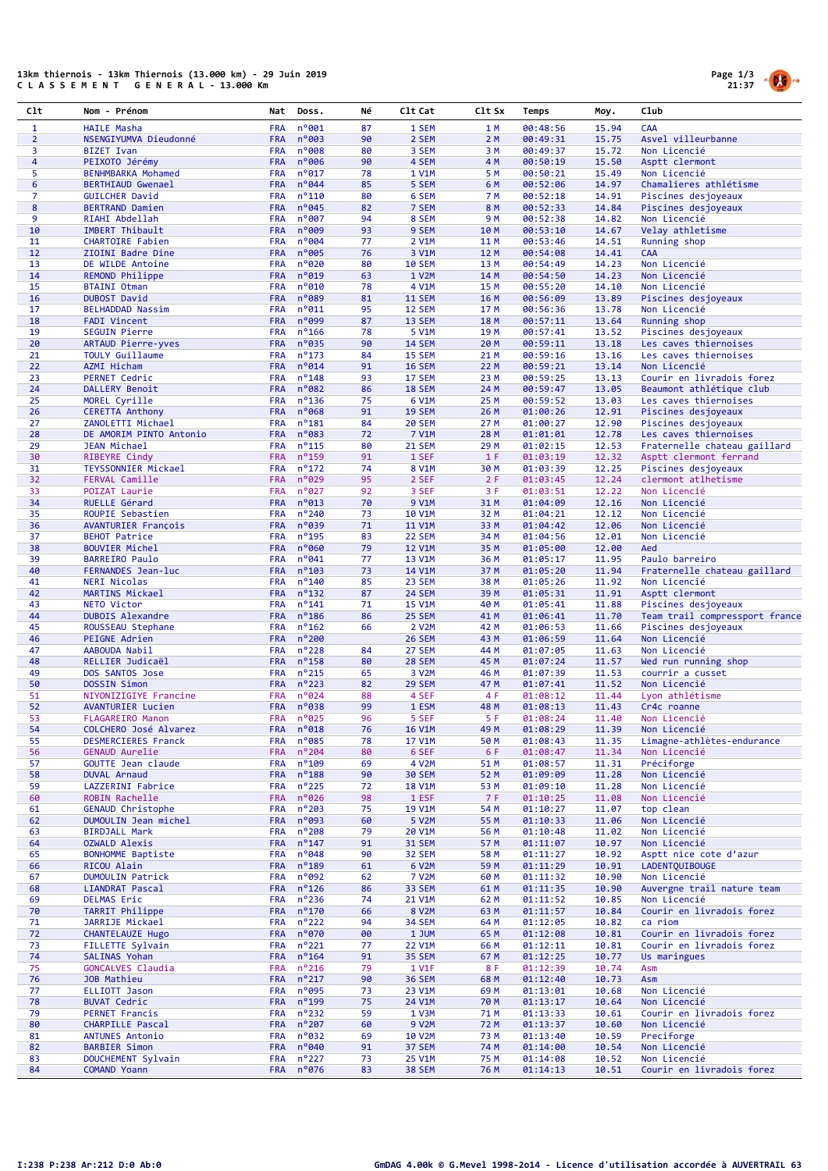## 13km thiernois - 13km Thiernois (13.000 km) - 29 Juin 2019<br>C L A S S E M E N T G E N E R A L - 13.000 Km



| Clt            | Nom - Prénom                                          | Nat                      | Doss.                             | Νé       | C1t Cat                | C1t Sx       | Temps                | Moy.           | Club                                          |
|----------------|-------------------------------------------------------|--------------------------|-----------------------------------|----------|------------------------|--------------|----------------------|----------------|-----------------------------------------------|
| $\mathbf{1}$   | <b>HAILE Masha</b>                                    | <b>FRA</b>               | n°001                             | 87       | 1 SEM                  | 1 M          | 00:48:56             | 15.94          | CAA                                           |
| $\overline{2}$ | NSENGIYUMVA Dieudonné                                 | <b>FRA</b>               | n°003                             | 90       | 2 SEM                  | 2 M          | 00:49:31             | 15.75          | Asvel villeurbanne                            |
| 3              | <b>BIZET Ivan</b>                                     | <b>FRA</b>               | n°008                             | 80       | 3 SEM                  | 3 M          | 00:49:37             | 15.72          | Non Licencié                                  |
| $\overline{4}$ | PEIXOTO Jérémy                                        | <b>FRA</b>               | n°006                             | 90       | 4 SEM                  | 4 M          | 00:50:19             | 15.50          | Asptt clermont                                |
| 5<br>6         | <b>BENHMBARKA Mohamed</b><br><b>BERTHIAUD Gwenael</b> | <b>FRA</b><br><b>FRA</b> | $n^{\circ}$ 017<br>n°044          | 78<br>85 | 1 V1M                  | 5 M<br>6 M   | 00:50:21<br>00:52:06 | 15.49<br>14.97 | Non Licencié<br>Chamalieres athlétisme        |
| $\overline{7}$ | <b>GUILCHER David</b>                                 | <b>FRA</b>               | $n^{\circ}110$                    | 80       | 5 SEM<br>6 SEM         | <b>7 M</b>   | 00:52:18             | 14.91          | Piscines desjoyeaux                           |
| 8              | <b>BERTRAND Damien</b>                                | <b>FRA</b>               | $n^{\circ}045$                    | 82       | 7 SEM                  | 8 M          | 00:52:33             | 14.84          | Piscines desjoyeaux                           |
| 9              | RIAHI Abdellah                                        | <b>FRA</b>               | nº007                             | 94       | 8 SEM                  | 9 M          | 00:52:38             | 14.82          | Non Licencié                                  |
| 10             | IMBERT Thibault                                       | <b>FRA</b>               | n°009                             | 93       | 9 SEM                  | 10 M         | 00:53:10             | 14.67          | Velay athletisme                              |
| 11             | <b>CHARTOIRE Fabien</b>                               | <b>FRA</b>               | n°004                             | 77       | 2 V1M                  | 11 M         | 00:53:46             | 14.51          | Running shop                                  |
| 12             | ZIOINI Badre Dine                                     | <b>FRA</b>               | n°005                             | 76       | 3 V1M                  | 12 M         | 00:54:08             | 14.41          | <b>CAA</b>                                    |
| 13             | DE WILDE Antoine                                      | <b>FRA</b>               | n°020                             | 80       | <b>10 SEM</b>          | 13 M         | 00:54:49             | 14.23          | Non Licencié                                  |
| 14             | REMOND Philippe                                       | <b>FRA</b>               | n°019                             | 63       | 1 V2M                  | 14 M         | 00:54:50             | 14.23          | Non Licencié                                  |
| 15             | <b>BTAINI Otman</b>                                   | <b>FRA</b>               | n°010                             | 78       | 4 V1M                  | 15 M         | 00:55:20             | 14.10          | Non Licencié                                  |
| 16<br>17       | <b>DUBOST David</b>                                   | <b>FRA</b><br><b>FRA</b> | n°089<br>$n^{\circ}011$           | 81<br>95 | 11 SEM                 | 16 M         | 00:56:09             | 13.89<br>13.78 | Piscines desjoyeaux<br>Non Licencié           |
| 18             | <b>BELHADDAD Nassim</b><br><b>FADI Vincent</b>        | <b>FRA</b>               | n°099                             | 87       | 12 SEM<br>13 SEM       | 17 M<br>18 M | 00:56:36<br>00:57:11 | 13.64          | Running shop                                  |
| 19             | <b>SEGUIN Pierre</b>                                  | <b>FRA</b>               | $n^o$ 166                         | 78       | 5 V1M                  | 19 M         | 00:57:41             | 13.52          | Piscines desjoyeaux                           |
| 20             | ARTAUD Pierre-yves                                    | <b>FRA</b>               | n°035                             | 90       | <b>14 SEM</b>          | 20 M         | 00:59:11             | 13.18          | Les caves thiernoises                         |
| 21             | <b>TOULY Guillaume</b>                                | <b>FRA</b>               | $n^o$ 173                         | 84       | 15 SEM                 | 21 M         | 00:59:16             | 13.16          | Les caves thiernoises                         |
| 22             | <b>AZMI Hicham</b>                                    | <b>FRA</b>               | n°014                             | 91       | <b>16 SEM</b>          | 22 M         | 00:59:21             | 13.14          | Non Licencié                                  |
| 23             | <b>PERNET Cedric</b>                                  | <b>FRA</b>               | $n^o$ 148                         | 93       | 17 SEM                 | 23 M         | 00:59:25             | 13.13          | Courir en livradois forez                     |
| 24             | DALLERY Benoit                                        | <b>FRA</b>               | n°082                             | 86       | 18 SEM                 | 24 M         | 00:59:47             | 13.05          | Beaumont athlétique club                      |
| 25             | MOREL Cyrille                                         | <b>FRA</b>               | $n^o$ 136                         | 75       | 6 V1M                  | 25 M         | 00:59:52             | 13.03          | Les caves thiernoises                         |
| 26             | <b>CERETTA Anthony</b>                                | <b>FRA</b>               | $n^o$ 068                         | 91       | <b>19 SEM</b>          | 26 M         | 01:00:26             | 12.91          | Piscines desjoyeaux                           |
| 27             | ZANOLETTI Michael                                     | <b>FRA</b>               | $n^o$ 181                         | 84       | <b>20 SEM</b>          | 27 M         | 01:00:27             | 12.90          | Piscines desjoyeaux                           |
| 28             | DE AMORIM PINTO Antonio                               | <b>FRA</b>               | n°083                             | 72       | 7 V1M                  | 28 M         | 01:01:01             | 12.78          | Les caves thiernoises                         |
| 29<br>30       | JEAN Michael                                          | <b>FRA</b>               | $n^o$ 115                         | 80<br>91 | 21 SEM                 | 29 M<br>1 F  | 01:02:15<br>01:03:19 | 12.53<br>12.32 | Fraternelle chateau gaillard                  |
| 31             | <b>RIBEYRE Cindy</b><br>TEYSSONNIER Mickael           | <b>FRA</b><br><b>FRA</b> | $n^o$ 159<br>$n^o$ 172            | 74       | 1 SEF<br>8 V1M         | 30 M         | 01:03:39             | 12.25          | Asptt clermont ferrand<br>Piscines desjoyeaux |
| 32             | <b>FERVAL Camille</b>                                 | <b>FRA</b>               | n°029                             | 95       | 2 SEF                  | 2F           | 01:03:45             | 12.24          | clermont atlhetisme                           |
| 33             | POIZAT Laurie                                         | <b>FRA</b>               | $n^{\circ}$ 027                   | 92       | 3 SEF                  | 3F           | 01:03:51             | 12.22          | Non Licencié                                  |
| 34             | RUELLE Gérard                                         | <b>FRA</b>               | n°013                             | 70       | 9 V1M                  | 31 M         | 01:04:09             | 12.16          | Non Licencié                                  |
| 35             | ROUPIE Sebastien                                      | <b>FRA</b>               | $n^{\circ}$ 240                   | 73       | 10 V1M                 | 32 M         | 01:04:21             | 12.12          | Non Licencié                                  |
| 36             | <b>AVANTURIER François</b>                            | <b>FRA</b>               | n°039                             | 71       | <b>11 V1M</b>          | 33 M         | 01:04:42             | 12.06          | Non Licencié                                  |
| 37             | <b>BEHOT Patrice</b>                                  | <b>FRA</b>               | $n^o$ 195                         | 83       | 22 SEM                 | 34 M         | 01:04:56             | 12.01          | Non Licencié                                  |
| 38             | <b>BOUVIER Michel</b>                                 | <b>FRA</b>               | n°060                             | 79       | <b>12 V1M</b>          | 35 M         | 01:05:00             | 12.00          | Aed                                           |
| 39             | <b>BARREIRO Paulo</b>                                 | <b>FRA</b>               | n°041                             | 77       | 13 V1M                 | 36 M         | 01:05:17             | 11.95          | Paulo barreiro                                |
| 40             | FERNANDES Jean-luc                                    | <b>FRA</b>               | $n^{\circ}$ 103                   | 73       | 14 V1M                 | 37 M         | 01:05:20             | 11.94          | Fraternelle chateau gaillard                  |
| 41             | <b>NERI Nicolas</b>                                   | <b>FRA</b>               | $n^{\circ}$ 140                   | 85       | 23 SEM                 | 38 M         | 01:05:26             | 11.92          | Non Licencié                                  |
| 42             | MARTINS Mickael                                       | <b>FRA</b>               | $n^o$ 132                         | 87       | 24 SEM                 | 39 M         | 01:05:31             | 11.91          | Asptt clermont                                |
| 43             | NETO Victor                                           | <b>FRA</b>               | $n^{\circ}$ 141                   | 71       | 15 V1M                 | 40 M         | 01:05:41             | 11.88          | Piscines desjoyeaux                           |
| 44<br>45       | <b>DUBOIS Alexandre</b>                               | <b>FRA</b>               | $n^o$ 186                         | 86       | 25 SEM                 | 41 M<br>42 M | 01:06:41             | 11.70          | Team trail compressport france                |
| 46             | ROUSSEAU Stephane<br><b>PEIGNE Adrien</b>             | <b>FRA</b><br><b>FRA</b> | $n^o$ 162<br>$n^{\circ}$ 200      | 66       | 2 V2M<br><b>26 SEM</b> | 43 M         | 01:06:53<br>01:06:59 | 11.66<br>11.64 | Piscines desjoyeaux<br>Non Licencié           |
| 47             | AABOUDA Nabil                                         | <b>FRA</b>               | $n^o$ 228                         | 84       | 27 SEM                 | 44 M         | 01:07:05             | 11.63          | Non Licencié                                  |
| 48             | RELLIER Judicaël                                      | <b>FRA</b>               | $n^o$ 158                         | 80       | 28 SEM                 | 45 M         | 01:07:24             | 11.57          | Wed run running shop                          |
| 49             | DOS SANTOS Jose                                       | <b>FRA</b>               | $n^o$ 215                         | 65       | 3 V2M                  | 46 M         | 01:07:39             | 11.53          | courrir a cusset                              |
| 50             | DOSSIN Simon                                          | <b>FRA</b>               | $n^{\circ}$ 223                   | 82       | 29 SEM                 | 47 M         | 01:07:41             | 11.52          | Non Licencié                                  |
| 51             | NIYONIZIGIYE Francine                                 | <b>FRA</b>               | $n^{\circ}024$                    | 88       | 4 SEF                  | 4 F          | 01:08:12             | 11.44          | Lyon athlétisme                               |
| 52             | <b>AVANTURIER Lucien</b>                              | <b>FRA</b>               | n°038                             | 99       | 1 ESM                  | 48 M         | 01:08:13             | 11.43          | Cr4c roanne                                   |
| 53             | <b>FLAGAREIRO Manon</b>                               | <b>FRA</b>               | n°025                             | 96       | 5 SEF                  | 5 F          | 01:08:24             | 11.40          | Non Licencié                                  |
| 54             | COLCHERO José Alvarez                                 | <b>FRA</b>               | $n^{o}018$                        | 76       | 16 V1M                 | 49 M         | 01:08:29             | 11.39          | Non Licencié                                  |
| 55             | DESMERCIERES Franck                                   | <b>FRA</b>               | $n^o$ 085                         | 78       | 17 V1M                 | 50 M         | 01:08:43             | 11.35          | Limagne-athlètes-endurance                    |
| 56             | GENAUD Aurelie                                        | <b>FRA</b>               | $n^{\circ}$ 204                   | 80       | 6 SEF                  | 6 F          | 01:08:47             | 11.34          | Non Licencié                                  |
| 57             | <b>GOUTTE Jean claude</b>                             | <b>FRA</b>               | $n^o$ 109                         | 69       | 4 V2M                  | 51 M         | 01:08:57             | 11.31          | Préciforge                                    |
| 58             | <b>DUVAL Arnaud</b>                                   | <b>FRA</b><br><b>FRA</b> | $n^o$ 188<br>$n^{\circ}$ 225      | 90       | <b>30 SEM</b>          | 52 M         | 01:09:09             | 11.28          | Non Licencié<br>Non Licencié                  |
| 59<br>60       | LAZZERINI Fabrice<br>ROBIN Rachelle                   | <b>FRA</b>               | $n^{\circ}026$                    | 72<br>98 | <b>18 V1M</b><br>1 ESF | 53 M<br>7 F  | 01:09:10<br>01:10:25 | 11.28<br>11.08 | Non Licencié                                  |
| 61             | <b>GENAUD Christophe</b>                              | <b>FRA</b>               | $n^{\circ}$ 203                   | 75       | 19 V1M                 | 54 M         | 01:10:27             | 11.07          | top clean                                     |
| 62             | DUMOULIN Jean michel                                  | <b>FRA</b>               | n°093                             | 60       | 5 V2M                  | 55 M         | 01:10:33             | 11.06          | Non Licencié                                  |
| 63             | <b>BIRDJALL Mark</b>                                  | <b>FRA</b>               | $n^{\circ}$ 208                   | 79       | 20 V1M                 | 56 M         | 01:10:48             | 11.02          | Non Licencié                                  |
| 64             | OZWALD Alexis                                         | <b>FRA</b>               | $n^{\circ}$ 147                   | 91       | <b>31 SEM</b>          | 57 M         | 01:11:07             | 10.97          | Non Licencié                                  |
| 65             | <b>BONHOMME Baptiste</b>                              | <b>FRA</b>               | $n^o048$                          | 90       | <b>32 SEM</b>          | 58 M         | 01:11:27             | 10.92          | Asptt nice cote d'azur                        |
| 66             | RICOU Alain                                           | <b>FRA</b>               | $n^o$ 189                         | 61       | 6 V2M                  | 59 M         | 01:11:29             | 10.91          | <b>LADENTQUIBOUGE</b>                         |
| 67             | <b>DUMOULIN Patrick</b>                               | <b>FRA</b>               | $n^o$ 092                         | 62       | 7 V2M                  | 60 M         | 01:11:32             | 10.90          | Non Licencié                                  |
| 68             | LIANDRAT Pascal                                       | <b>FRA</b>               | $n^{\circ}$ 126                   | 86       | 33 SEM                 | 61 M         | 01:11:35             | 10.90          | Auvergne trail nature team                    |
| 69             | DELMAS Eric                                           | <b>FRA</b>               | $n^{\circ}$ 236                   | 74       | 21 V1M                 | 62 M         | 01:11:52             | 10.85          | Non Licencié                                  |
| 70             | TARRIT Philippe                                       | <b>FRA</b>               | $n^{\circ}$ 170                   | 66       | 8 V2M                  | 63 M         | 01:11:57             | 10.84          | Courir en livradois forez                     |
| 71<br>72       | JARRIJE Mickael<br>CHANTELAUZE Hugo                   | <b>FRA</b><br><b>FRA</b> | $n^{\circ}$ 222<br>$n^{\circ}070$ | 94<br>00 | <b>34 SEM</b>          | 64 M         | 01:12:05<br>01:12:08 | 10.82          | ca riom<br>Courir en livradois forez          |
| 73             | FILLETTE Sylvain                                      | <b>FRA</b>               | $n^o$ 221                         | 77       | 1 JUM<br>22 V1M        | 65 M<br>66 M | 01:12:11             | 10.81<br>10.81 | Courir en livradois forez                     |
| 74             | SALINAS Yohan                                         | <b>FRA</b>               | $n^{\circ}$ 164                   | 91       | <b>35 SEM</b>          | 67 M         | 01:12:25             | 10.77          | Us maringues                                  |
| 75             | GONCALVES Claudia                                     | <b>FRA</b>               | $n^o$ 216                         | 79       | 1 V1F                  | 8 F          | 01:12:39             | 10.74          | Asm                                           |
| 76             | JOB Mathieu                                           | <b>FRA</b>               | $n^{\circ}217$                    | 90       | <b>36 SEM</b>          | 68 M         | 01:12:40             | 10.73          | Asm                                           |
| 77             | ELLIOTT Jason                                         | <b>FRA</b>               | $n^o$ 095                         | 73       | 23 V1M                 | 69 M         | 01:13:01             | 10.68          | Non Licencié                                  |
| 78             | <b>BUVAT Cedric</b>                                   | <b>FRA</b>               | $n^o$ 199                         | 75       | 24 V1M                 | 70 M         | 01:13:17             | 10.64          | Non Licencié                                  |
| 79             | <b>PERNET Francis</b>                                 | <b>FRA</b>               | $n^{\circ}$ 232                   | 59       | 1 V3M                  | 71 M         | 01:13:33             | 10.61          | Courir en livradois forez                     |
| 80             | CHARPILLE Pascal                                      | <b>FRA</b>               | $n^{\circ}207$                    | 60       | 9 V2M                  | 72 M         | 01:13:37             | 10.60          | Non Licencié                                  |
| 81             | <b>ANTUNES Antonio</b>                                | <b>FRA</b>               | $n^o$ 032                         | 69       | 10 V2M                 | 73 M         | 01:13:40             | 10.59          | Preciforge                                    |
| 82             | <b>BARBIER Simon</b>                                  | <b>FRA</b>               | $n^{\circ}040$                    | 91       | 37 SEM                 | 74 M         | 01:14:00             | 10.54          | Non Licencié                                  |
| 83             | DOUCHEMENT Sylvain                                    | <b>FRA</b>               | $n^{\circ}$ 227                   | 73       | 25 V1M                 | 75 M         | 01:14:08             | 10.52          | Non Licencié                                  |
| 84             | <b>COMAND Yoann</b>                                   | <b>FRA</b>               | $n^{\circ}076$                    | 83       | 38 SEM                 | 76 M         | 01:14:13             | 10.51          | Courir en livradois forez                     |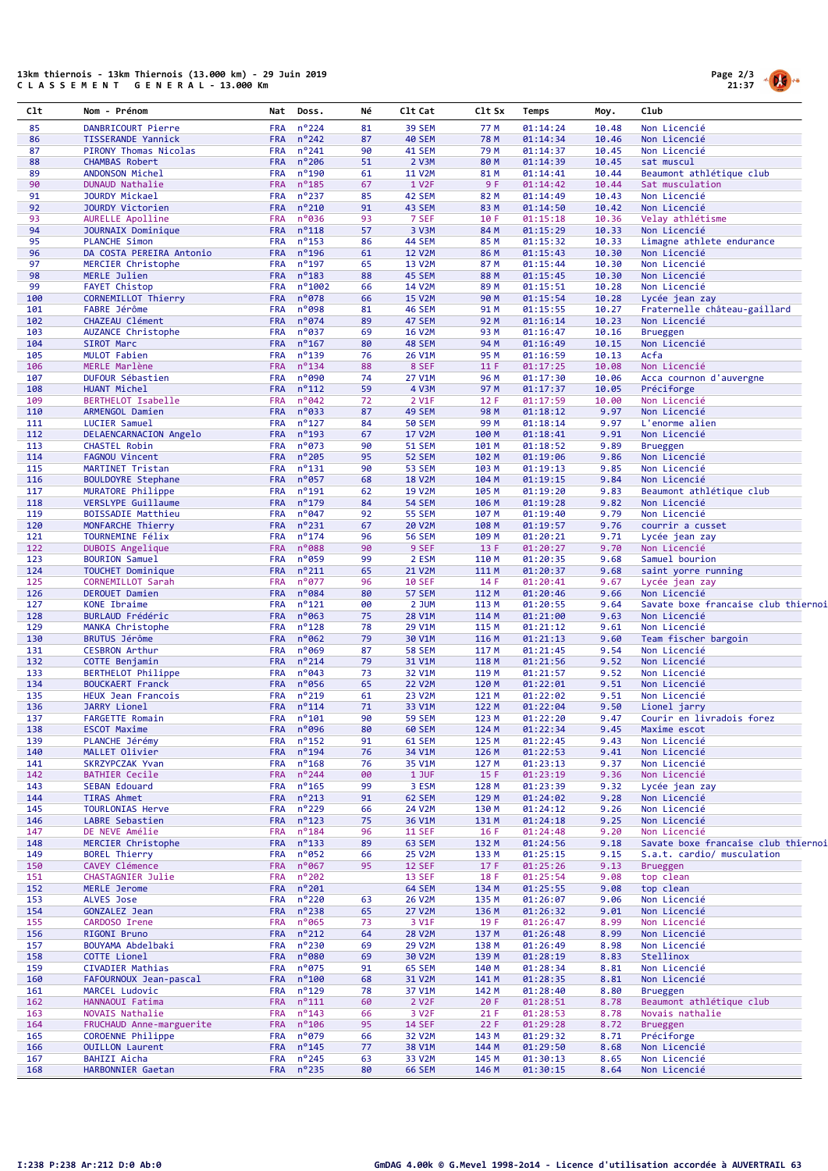## 13km thiernois - 13km Thiernois (13.000 km) - 29 Juin 2019 C L A S S E M E N T G E N E R A L - 13.000 Km



| C1t        | Nom - Prénom                                  | Nat                      | Doss.                              | Νé       | C1t Cat                        | Clt Sx         | Temps                | Moy.           | Club                                                |
|------------|-----------------------------------------------|--------------------------|------------------------------------|----------|--------------------------------|----------------|----------------------|----------------|-----------------------------------------------------|
| 85         | DANBRICOURT Pierre                            | <b>FRA</b>               | $n^{\circ}$ 224                    | 81       | 39 SEM                         | 77 M           | 01:14:24             | 10.48          | Non Licencié                                        |
| 86         | <b>TISSERANDE Yannick</b>                     | <b>FRA</b>               | $n^{\circ}$ 242                    | 87       | <b>40 SEM</b>                  | 78 M           | 01:14:34             | 10.46          | Non Licencié                                        |
| 87         | PIRONY Thomas Nicolas                         | <b>FRA</b>               | $n^{\circ}241$                     | 90       | 41 SEM                         | 79 M           | 01:14:37             | 10.45          | Non Licencié                                        |
| 88<br>89   | <b>CHAMBAS Robert</b><br>ANDONSON Michel      | <b>FRA</b><br><b>FRA</b> | $n^{\circ}$ 206<br>$n^o$ 190       | 51<br>61 | 2 V3M<br><b>11 V2M</b>         | 80 M<br>81 M   | 01:14:39<br>01:14:41 | 10.45<br>10.44 | sat muscul<br>Beaumont athlétique club              |
| 90         | DUNAUD Nathalie                               | <b>FRA</b>               | $n^o$ 185                          | 67       | 1 V <sub>2</sub> F             | 9F             | 01:14:42             | 10.44          | Sat musculation                                     |
| 91         | JOURDY Mickael                                | <b>FRA</b>               | $n^o$ 237                          | 85       | 42 SEM                         | 82 M           | 01:14:49             | 10.43          | Non Licencié                                        |
| 92         | JOURDY Victorien                              | <b>FRA</b>               | $n^{\circ}210$                     | 91       | 43 SEM                         | 83 M           | 01:14:50             | 10.42          | Non Licencié                                        |
| 93         | AURELLE Apolline                              | <b>FRA</b>               | n°036                              | 93       | 7 SEF                          | 10 F           | 01:15:18             | 10.36          | Velay athlétisme                                    |
| 94<br>95   | JOURNAIX Dominique<br><b>PLANCHE Simon</b>    | <b>FRA</b><br><b>FRA</b> | $n^o$ 118<br>$n^o$ 153             | 57<br>86 | 3 V3M<br>44 SEM                | 84 M<br>85 M   | 01:15:29<br>01:15:32 | 10.33<br>10.33 | Non Licencié<br>Limagne athlete endurance           |
| 96         | DA COSTA PEREIRA Antonio                      | <b>FRA</b>               | $n^o$ 196                          | 61       | <b>12 V2M</b>                  | 86 M           | 01:15:43             | 10.30          | Non Licencié                                        |
| 97         | MERCIER Christophe                            | <b>FRA</b>               | $n^o$ 197                          | 65       | 13 V2M                         | 87 M           | 01:15:44             | 10.30          | Non Licencié                                        |
| 98         | MERLE Julien                                  | <b>FRA</b>               | $n^o$ 183                          | 88       | 45 SEM                         | 88 M           | 01:15:45             | 10.30          | Non Licencié                                        |
| 99         | <b>FAYET Chistop</b>                          | <b>FRA</b>               | n°1002                             | 66       | 14 V2M                         | 89 M           | 01:15:51             | 10.28          | Non Licencié                                        |
| 100<br>101 | CORNEMILLOT Thierry<br>FABRE Jérôme           | <b>FRA</b><br><b>FRA</b> | $n^{\circ}078$<br>n°098            | 66<br>81 | <b>15 V2M</b><br><b>46 SEM</b> | 90 M<br>91 M   | 01:15:54<br>01:15:55 | 10.28<br>10.27 | Lycée jean zay<br>Fraternelle château-gaillard      |
| 102        | CHAZEAU Clément                               | <b>FRA</b>               | n°074                              | 89       | 47 SEM                         | 92 M           | 01:16:14             | 10.23          | Non Licencié                                        |
| 103        | AUZANCE Christophe                            | <b>FRA</b>               | n°037                              | 69       | <b>16 V2M</b>                  | 93 M           | 01:16:47             | 10.16          | <b>Brueggen</b>                                     |
| 104        | SIROT Marc                                    | <b>FRA</b>               | $n^{\circ}$ 167                    | 80       | 48 SEM                         | 94 M           | 01:16:49             | 10.15          | Non Licencié                                        |
| 105        | MULOT Fabien                                  | <b>FRA</b>               | $n^o$ 139                          | 76       | 26 V1M                         | 95 M           | 01:16:59             | 10.13          | Acfa                                                |
| 106        | MERLE Marlène                                 | <b>FRA</b>               | $n^o$ 134                          | 88       | 8 SEF                          | 11 F           | 01:17:25             | 10.08          | Non Licencié                                        |
| 107<br>108 | DUFOUR Sébastien<br>HUANT Michel              | <b>FRA</b><br><b>FRA</b> | n°090<br>$n^o$ 112                 | 74<br>59 | 27 V1M<br>4 V3M                | 96 M<br>97 M   | 01:17:30             | 10.06<br>10.05 | Acca cournon d'auvergne<br>Préciforge               |
| 109        | BERTHELOT Isabelle                            | <b>FRA</b>               | $n^{\circ}042$                     | 72       | 2 V1F                          | 12 F           | 01:17:37<br>01:17:59 | 10.00          | Non Licencié                                        |
| 110        | ARMENGOL Damien                               | <b>FRA</b>               | n°033                              | 87       | 49 SEM                         | 98 M           | 01:18:12             | 9.97           | Non Licencié                                        |
| 111        | LUCIER Samuel                                 | <b>FRA</b>               | $n^o$ 127                          | 84       | <b>50 SEM</b>                  | 99 M           | 01:18:14             | 9.97           | L'enorme alien                                      |
| 112        | DELAENCARNACION Angelo                        | <b>FRA</b>               | $n^o$ 193                          | 67       | <b>17 V2M</b>                  | 100 M          | 01:18:41             | 9.91           | Non Licencié                                        |
| 113        | <b>CHASTEL Robin</b>                          | <b>FRA</b>               | $n^o$ 073                          | 90       | <b>51 SEM</b>                  | 101 M          | 01:18:52             | 9.89           | <b>Brueggen</b><br>Non Licencié                     |
| 114<br>115 | FAGNOU Vincent<br>MARTINET Tristan            | <b>FRA</b><br><b>FRA</b> | $n^{\circ}$ 205<br>$n^o$ 131       | 95<br>90 | <b>52 SEM</b><br><b>53 SEM</b> | 102 M<br>103 M | 01:19:06<br>01:19:13 | 9.86<br>9.85   | Non Licencié                                        |
| 116        | <b>BOULDOYRE Stephane</b>                     | <b>FRA</b>               | n°057                              | 68       | <b>18 V2M</b>                  | 104 M          | 01:19:15             | 9.84           | Non Licencié                                        |
| 117        | MURATORE Philippe                             | <b>FRA</b>               | $n^o$ 191                          | 62       | 19 V2M                         | 105 M          | 01:19:20             | 9.83           | Beaumont athlétique club                            |
| 118        | VERSLYPE Guillaume                            | <b>FRA</b>               | $n^o$ 179                          | 84       | <b>54 SEM</b>                  | 106 M          | 01:19:28             | 9.82           | Non Licencié                                        |
| 119        | <b>BOISSADIE Matthieu</b>                     | <b>FRA</b>               | $n^{\circ}047$                     | 92       | <b>55 SEM</b>                  | 107 M          | 01:19:40             | 9.79           | Non Licencié                                        |
| 120<br>121 | MONFARCHE Thierry<br>TOURNEMINE Félix         | <b>FRA</b><br><b>FRA</b> | $n^{\circ}$ 231<br>$n^o$ 174       | 67<br>96 | 20 V2M<br><b>56 SEM</b>        | 108 M<br>109 M | 01:19:57<br>01:20:21 | 9.76<br>9.71   | courrir a cusset<br>Lycée jean zay                  |
| 122        | DUBOIS Angelique                              | <b>FRA</b>               | n°088                              | 90       | 9 SEF                          | 13 F           | 01:20:27             | 9.70           | Non Licencié                                        |
| 123        | <b>BOURION Samuel</b>                         | <b>FRA</b>               | n°059                              | 99       | 2 ESM                          | 110 M          | 01:20:35             | 9.68           | Samuel bourion                                      |
| 124        | TOUCHET Dominique                             | <b>FRA</b>               | $n^{\circ}211$                     | 65       | 21 V2M                         | 111 M          | 01:20:37             | 9.68           | saint yorre running                                 |
| 125        | CORNEMILLOT Sarah                             | <b>FRA</b>               | $n^{\circ}$ 077                    | 96       | <b>10 SEF</b>                  | 14 F           | 01:20:41             | 9.67           | Lycée jean zay                                      |
| 126<br>127 | DEROUET Damien<br><b>KONE Ibraime</b>         | <b>FRA</b><br><b>FRA</b> | n°084<br>$n^o$ 121                 | 80<br>00 | 57 SEM<br>2 JUM                | 112 M<br>113 M | 01:20:46<br>01:20:55 | 9.66<br>9.64   | Non Licencié<br>Savate boxe francaise club thiernoi |
| 128        | BURLAUD Frédéric                              | <b>FRA</b>               | n°063                              | 75       | 28 V1M                         | 114 M          | 01:21:00             | 9.63           | Non Licencié                                        |
| 129        | MANKA Christophe                              | <b>FRA</b>               | $n^o$ 128                          | 78       | 29 V1M                         | 115 M          | 01:21:12             | 9.61           | Non Licencié                                        |
| 130        | <b>BRUTUS Jérôme</b>                          | <b>FRA</b>               | n°062                              | 79       | 30 V1M                         | 116 M          | 01:21:13             | 9.60           | Team fischer bargoin                                |
| 131        | <b>CESBRON Arthur</b>                         | <b>FRA</b>               | n°069                              | 87       | <b>58 SEM</b>                  | 117 M          | 01:21:45             | 9.54           | Non Licencié                                        |
| 132        | COTTE Benjamin                                | <b>FRA</b>               | $n^{\circ}$ 214                    | 79       | 31 V1M                         | 118 M          | 01:21:56             | 9.52           | Non Licencié                                        |
| 133<br>134 | BERTHELOT Philippe<br><b>BOUCKAERT Franck</b> | <b>FRA</b><br><b>FRA</b> | n°043<br>$n^{\circ}$ 056           | 73<br>65 | 32 V1M<br><b>22 V2M</b>        | 119 M<br>120 M | 01:21:57<br>01:22:01 | 9.52<br>9.51   | Non Licencié<br>Non Licencié                        |
| 135        | HEUX Jean Francois                            | <b>FRA</b>               | $n^o$ 219                          | 61       | 23 V2M                         | 121 M          | 01:22:02             | 9.51           | Non Licencié                                        |
| 136        | <b>JARRY Lionel</b>                           | <b>FRA</b>               | $n^o$ 114                          | 71       | 33 V1M                         | 122 M          | 01:22:04             | 9.50           | Lionel jarry                                        |
| 137        | <b>FARGETTE Romain</b>                        | <b>FRA</b>               | $n^{\circ}101$                     | 90       | <b>59 SEM</b>                  | 123 M          | 01:22:20             | 9.47           | Courir en livradois forez                           |
| 138        | <b>ESCOT Maxime</b>                           | <b>FRA</b>               | n°096                              | 80       | <b>60 SEM</b>                  | 124 M          | 01:22:34             | 9.45           | Maxime escot                                        |
| 139        | PLANCHE Jérémy                                | <b>FRA</b>               | $n^o$ 152<br>$n^o$ 194             | 91<br>76 | <b>61 SEM</b>                  | 125 M          | 01:22:45             | 9.43           | Non Licencié                                        |
| 140<br>141 | MALLET Olivier<br>SKRZYPCZAK Yvan             | <b>FRA</b><br><b>FRA</b> | $n^o$ 168                          | 76       | 34 V1M<br>35 V1M               | 126 M<br>127 M | 01:22:53<br>01:23:13 | 9.41<br>9.37   | Non Licencié<br>Non Licencié                        |
| 142        | <b>BATHIER Cecile</b>                         | <b>FRA</b>               | $n^{\circ}$ 244                    | 00       | 1 JUF                          | 15 F           | 01:23:19             | 9.36           | Non Licencié                                        |
| 143        | SEBAN Edouard                                 | <b>FRA</b>               | $n^o$ 165                          | 99       | 3 ESM                          | 128 M          | 01:23:39             | 9.32           | Lycée jean zay                                      |
| 144        | <b>TIRAS Ahmet</b>                            | <b>FRA</b>               | $n^{\circ}213$                     | 91       | 62 SEM                         | 129 M          | 01:24:02             | 9.28           | Non Licencié                                        |
| 145        | <b>TOURLONIAS Herve</b>                       | <b>FRA</b>               | $n^o$ 229                          | 66       | 24 V2M                         | 130 M          | 01:24:12             | 9.26           | Non Licencié                                        |
| 146<br>147 | LABRE Sebastien<br>DE NEVE Amélie             | <b>FRA</b><br><b>FRA</b> | $n^o$ 123<br>$n^o$ 184             | 75<br>96 | 36 V1M<br><b>11 SEF</b>        | 131 M<br>16F   | 01:24:18<br>01:24:48 | 9.25<br>9.20   | Non Licencié<br>Non Licencié                        |
| 148        | MERCIER Christophe                            | <b>FRA</b>               | $n^o$ 133                          | 89       | 63 SEM                         | 132 M          | 01:24:56             | 9.18           | Savate boxe francaise club thiernoi                 |
| 149        | <b>BOREL Thierry</b>                          | <b>FRA</b>               | $n^o$ 052                          | 66       | 25 V2M                         | 133 M          | 01:25:15             | 9.15           | S.a.t. cardio/ musculation                          |
| 150        | CAVEY Clémence                                | <b>FRA</b>               | $n^{\circ}$ 067                    | 95       | <b>12 SEF</b>                  | 17F            | 01:25:26             | 9.13           | <b>Brueggen</b>                                     |
| 151        | <b>CHASTAGNIER Julie</b>                      | <b>FRA</b>               | $n^{\circ}202$                     |          | 13 SEF                         | 18 F           | 01:25:54             | 9.08           | top clean                                           |
| 152        | MERLE Jerome                                  | <b>FRA</b>               | $n^{\circ}201$                     |          | 64 SEM                         | 134 M          | 01:25:55             | 9.08           | top clean                                           |
| 153<br>154 | ALVES Jose<br>GONZALEZ Jean                   | <b>FRA</b><br><b>FRA</b> | $n^{\circ}$ 220<br>$n^{\circ}$ 238 | 63<br>65 | 26 V2M<br>27 V2M               | 135 M<br>136 M | 01:26:07<br>01:26:32 | 9.06<br>9.01   | Non Licencié<br>Non Licencié                        |
| 155        | CARDOSO Irene                                 | <b>FRA</b>               | $n^o$ 065                          | 73       | 3 V1F                          | 19 F           | 01:26:47             | 8.99           | Non Licencié                                        |
| 156        | RIGONI Bruno                                  | <b>FRA</b>               | $n^o$ 212                          | 64       | <b>28 V2M</b>                  | 137 M          | 01:26:48             | 8.99           | Non Licencié                                        |
| 157        | BOUYAMA Abdelbaki                             | <b>FRA</b>               | $n^{\circ}$ 230                    | 69       | 29 V2M                         | 138 M          | 01:26:49             | 8.98           | Non Licencié                                        |
| 158        | COTTE Lionel                                  | <b>FRA</b>               | $n^{\circ}080$                     | 69       | 30 V2M                         | 139 M          | 01:28:19             | 8.83           | Stellinox                                           |
| 159        | CIVADIER Mathias                              | <b>FRA</b>               | $n^{\circ}075$                     | 91       | 65 SEM                         | 140 M          | 01:28:34             | 8.81           | Non Licencié                                        |
| 160        | FAFOURNOUX Jean-pascal                        | <b>FRA</b>               | $n^{\circ}100$                     | 68       | 31 V2M                         | 141 M          | 01:28:35             | 8.81           | Non Licencié                                        |
| 161<br>162 | MARCEL Ludovic<br>HANNAOUI Fatima             | <b>FRA</b><br><b>FRA</b> | $n^{\circ}$ 129<br>$n^o$ 111       | 78<br>60 | 37 V1M<br>2 V <sub>2</sub> F   | 142 M<br>20 F  | 01:28:40<br>01:28:51 | 8.80<br>8.78   | <b>Brueggen</b><br>Beaumont athlétique club         |
| 163        | NOVAIS Nathalie                               | <b>FRA</b>               | $n^{\circ}$ 143                    | 66       | 3 V <sub>2F</sub>              | 21 F           | 01:28:53             | 8.78           | Novais nathalie                                     |
| 164        | FRUCHAUD Anne-marguerite                      | <b>FRA</b>               | $n^{\circ}106$                     | 95       | <b>14 SEF</b>                  | 22F            | 01:29:28             | 8.72           | <b>Brueggen</b>                                     |
| 165        | COROENNE Philippe                             | <b>FRA</b>               | $n^{\circ}079$                     | 66       | 32 V2M                         | 143 M          | 01:29:32             | 8.71           | Préciforge                                          |
| 166        | <b>OUILLON Laurent</b>                        | <b>FRA</b>               | $n^o$ 145                          | 77       | 38 V1M                         | 144 M          | 01:29:50             | 8.68           | Non Licencié                                        |
| 167        | BAHIZI Aicha                                  | <b>FRA</b>               | $n^{\circ}$ 245                    | 63       | 33 V2M                         | 145 M          | 01:30:13             | 8.65           | Non Licencié                                        |
| 168        | HARBONNIER Gaetan                             | <b>FRA</b>               | $n^o$ 235                          | 80       | <b>66 SEM</b>                  | 146 M          | 01:30:15             | 8.64           | Non Licencié                                        |